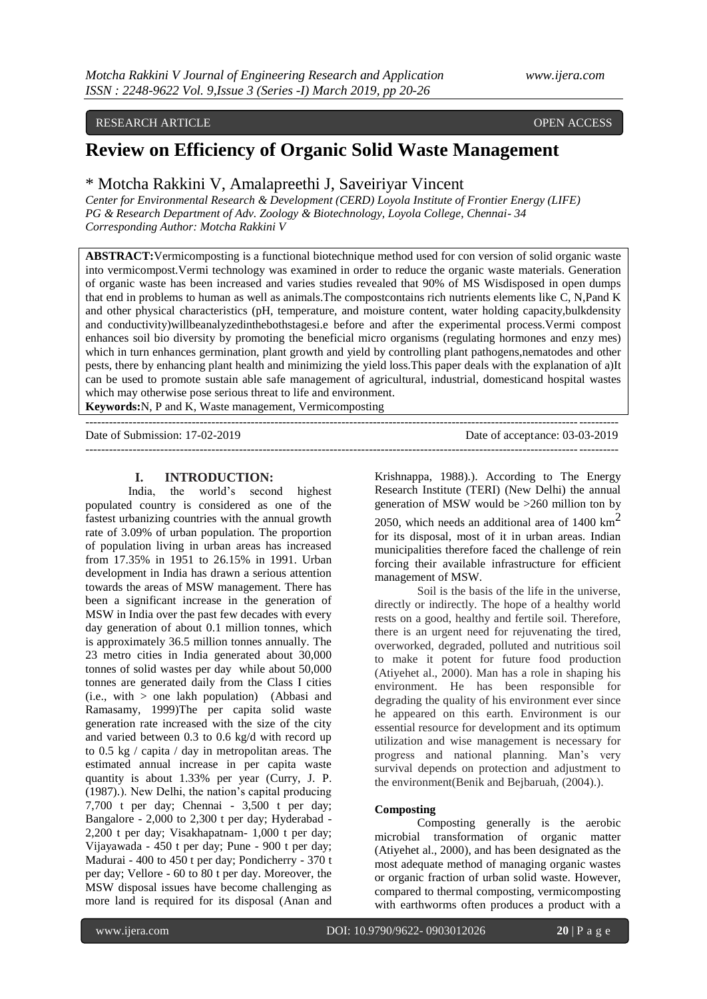### RESEARCH ARTICLE **OPEN ACCESS**

# **Review on Efficiency of Organic Solid Waste Management**

## \* Motcha Rakkini V, Amalapreethi J, Saveiriyar Vincent

*Center for Environmental Research & Development (CERD) Loyola Institute of Frontier Energy (LIFE) PG & Research Department of Adv. Zoology & Biotechnology, Loyola College, Chennai- 34 Corresponding Author: Motcha Rakkini V*

**ABSTRACT:**Vermicomposting is a functional biotechnique method used for con version of solid organic waste into vermicompost.Vermi technology was examined in order to reduce the organic waste materials. Generation of organic waste has been increased and varies studies revealed that 90% of MS Wisdisposed in open dumps that end in problems to human as well as animals.The compostcontains rich nutrients elements like C, N,Pand K and other physical characteristics (pH, temperature, and moisture content, water holding capacity,bulkdensity and conductivity)willbeanalyzedinthebothstagesi.e before and after the experimental process.Vermi compost enhances soil bio diversity by promoting the beneficial micro organisms (regulating hormones and enzy mes) which in turn enhances germination, plant growth and yield by controlling plant pathogens,nematodes and other pests, there by enhancing plant health and minimizing the yield loss.This paper deals with the explanation of a)It can be used to promote sustain able safe management of agricultural, industrial, domesticand hospital wastes which may otherwise pose serious threat to life and environment. **Keywords:**N, P and K, Waste management, Vermicomposting

---------------------------------------------------------------------------------------------------------------------------------------

Date of Submission: 17-02-2019 Date of acceptance: 03-03-2019

---------------------------------------------------------------------------------------------------------------------------------------

### **I. INTRODUCTION:**

India, the world"s second highest populated country is considered as one of the fastest urbanizing countries with the annual growth rate of 3.09% of urban population. The proportion of population living in urban areas has increased from 17.35% in 1951 to 26.15% in 1991. Urban development in India has drawn a serious attention towards the areas of MSW management. There has been a significant increase in the generation of MSW in India over the past few decades with every day generation of about 0.1 million tonnes, which is approximately 36.5 million tonnes annually. The 23 metro cities in India generated about 30,000 tonnes of solid wastes per day while about 50,000 tonnes are generated daily from the Class I cities  $(i.e., with > one lakh population)$  (Abbasi and Ramasamy, 1999)The per capita solid waste generation rate increased with the size of the city and varied between 0.3 to 0.6 kg/d with record up to 0.5 kg / capita / day in metropolitan areas. The estimated annual increase in per capita waste quantity is about 1.33% per year (Curry, J. P. (1987).). New Delhi, the nation"s capital producing 7,700 t per day; Chennai - 3,500 t per day; Bangalore - 2,000 to 2,300 t per day; Hyderabad - 2,200 t per day; Visakhapatnam- 1,000 t per day; Vijayawada - 450 t per day; Pune - 900 t per day; Madurai - 400 to 450 t per day; Pondicherry - 370 t per day; Vellore - 60 to 80 t per day. Moreover, the MSW disposal issues have become challenging as more land is required for its disposal (Anan and

Krishnappa, 1988).). According to The Energy Research Institute (TERI) (New Delhi) the annual generation of MSW would be >260 million ton by 2050, which needs an additional area of  $1400 \text{ km}^2$ for its disposal, most of it in urban areas. Indian municipalities therefore faced the challenge of rein forcing their available infrastructure for efficient management of MSW.

Soil is the basis of the life in the universe, directly or indirectly. The hope of a healthy world rests on a good, healthy and fertile soil. Therefore, there is an urgent need for rejuvenating the tired, overworked, degraded, polluted and nutritious soil to make it potent for future food production (Atiyehet al., 2000). Man has a role in shaping his environment. He has been responsible for degrading the quality of his environment ever since he appeared on this earth. Environment is our essential resource for development and its optimum utilization and wise management is necessary for progress and national planning. Man"s very survival depends on protection and adjustment to the environment(Benik and Bejbaruah, (2004).).

### **Composting**

Composting generally is the aerobic microbial transformation of organic matter (Atiyehet al., 2000), and has been designated as the most adequate method of managing organic wastes or organic fraction of urban solid waste. However, compared to thermal composting, vermicomposting with earthworms often produces a product with a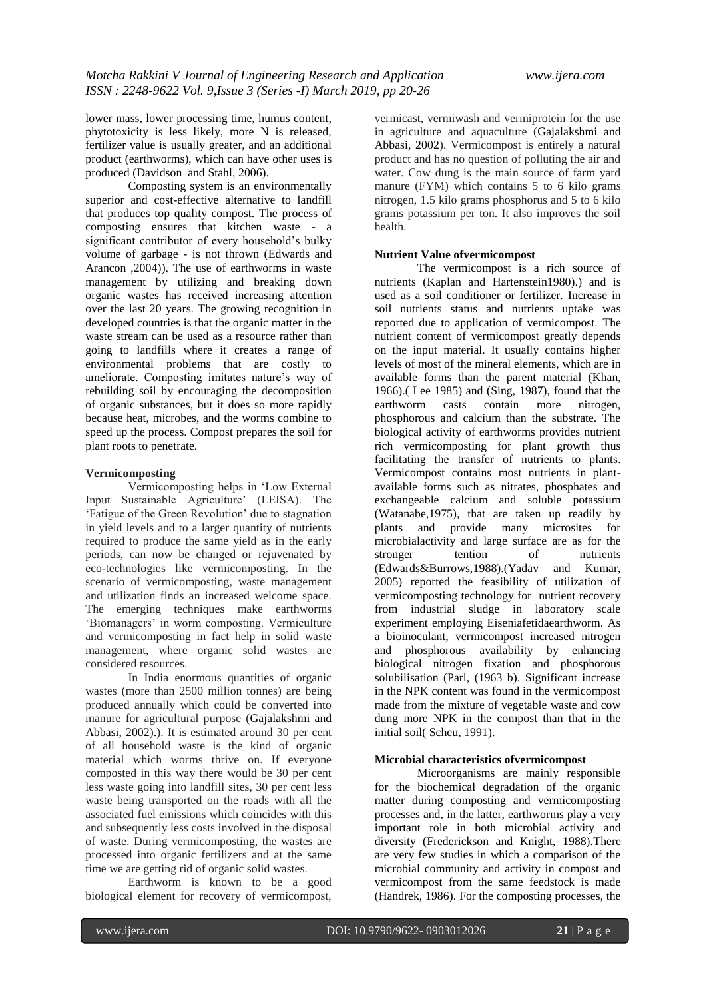lower mass, lower processing time, humus content, phytotoxicity is less likely, more N is released, fertilizer value is usually greater, and an additional product (earthworms), which can have other uses is produced (Davidson and Stahl, 2006).

Composting system is an environmentally superior and cost-effective alternative to landfill that produces top quality compost. The process of composting ensures that kitchen waste - a significant contributor of every household"s bulky volume of garbage - is not thrown (Edwards and Arancon ,2004)). The use of earthworms in waste management by utilizing and breaking down organic wastes has received increasing attention over the last 20 years. The growing recognition in developed countries is that the organic matter in the waste stream can be used as a resource rather than going to landfills where it creates a range of environmental problems that are costly to ameliorate. Composting imitates nature's way of rebuilding soil by encouraging the decomposition of organic substances, but it does so more rapidly because heat, microbes, and the worms combine to speed up the process. Compost prepares the soil for plant roots to penetrate.

### **Vermicomposting**

Vermicomposting helps in "Low External Input Sustainable Agriculture" (LEISA). The "Fatigue of the Green Revolution" due to stagnation in yield levels and to a larger quantity of nutrients required to produce the same yield as in the early periods, can now be changed or rejuvenated by eco-technologies like vermicomposting. In the scenario of vermicomposting, waste management and utilization finds an increased welcome space. The emerging techniques make earthworms "Biomanagers" in worm composting. Vermiculture and vermicomposting in fact help in solid waste management, where organic solid wastes are considered resources.

In India enormous quantities of organic wastes (more than 2500 million tonnes) are being produced annually which could be converted into manure for agricultural purpose (Gajalakshmi and Abbasi, 2002).). It is estimated around 30 per cent of all household waste is the kind of organic material which worms thrive on. If everyone composted in this way there would be 30 per cent less waste going into landfill sites, 30 per cent less waste being transported on the roads with all the associated fuel emissions which coincides with this and subsequently less costs involved in the disposal of waste. During vermicomposting, the wastes are processed into organic fertilizers and at the same time we are getting rid of organic solid wastes.

Earthworm is known to be a good biological element for recovery of vermicompost, vermicast, vermiwash and vermiprotein for the use in agriculture and aquaculture (Gajalakshmi and Abbasi, 2002). Vermicompost is entirely a natural product and has no question of polluting the air and water. Cow dung is the main source of farm yard manure (FYM) which contains 5 to 6 kilo grams nitrogen, 1.5 kilo grams phosphorus and 5 to 6 kilo grams potassium per ton. It also improves the soil health.

### **Nutrient Value ofvermicompost**

The vermicompost is a rich source of nutrients (Kaplan and Hartenstein1980).) and is used as a soil conditioner or fertilizer. Increase in soil nutrients status and nutrients uptake was reported due to application of vermicompost. The nutrient content of vermicompost greatly depends on the input material. It usually contains higher levels of most of the mineral elements, which are in available forms than the parent material (Khan, 1966).( Lee 1985) and (Sing, 1987), found that the earthworm casts contain more nitrogen, phosphorous and calcium than the substrate. The biological activity of earthworms provides nutrient rich vermicomposting for plant growth thus facilitating the transfer of nutrients to plants. Vermicompost contains most nutrients in plantavailable forms such as nitrates, phosphates and exchangeable calcium and soluble potassium (Watanabe,1975), that are taken up readily by plants and provide many microsites for microbialactivity and large surface are as for the stronger tention of nutrients<br>(Edwards&Burrows.1988).(Yadav and Kumar,  $(Edwards & Burrows, 1988)$ .  $(Yadav$  and 2005) reported the feasibility of utilization of vermicomposting technology for nutrient recovery from industrial sludge in laboratory scale experiment employing Eiseniafetidaearthworm. As a bioinoculant, vermicompost increased nitrogen and phosphorous availability by enhancing biological nitrogen fixation and phosphorous solubilisation (Parl, (1963 b). Significant increase in the NPK content was found in the vermicompost made from the mixture of vegetable waste and cow dung more NPK in the compost than that in the initial soil( Scheu, 1991).

### **Microbial characteristics ofvermicompost**

Microorganisms are mainly responsible for the biochemical degradation of the organic matter during composting and vermicomposting processes and, in the latter, earthworms play a very important role in both microbial activity and diversity (Frederickson and Knight, 1988).There are very few studies in which a comparison of the microbial community and activity in compost and vermicompost from the same feedstock is made (Handrek, 1986). For the composting processes, the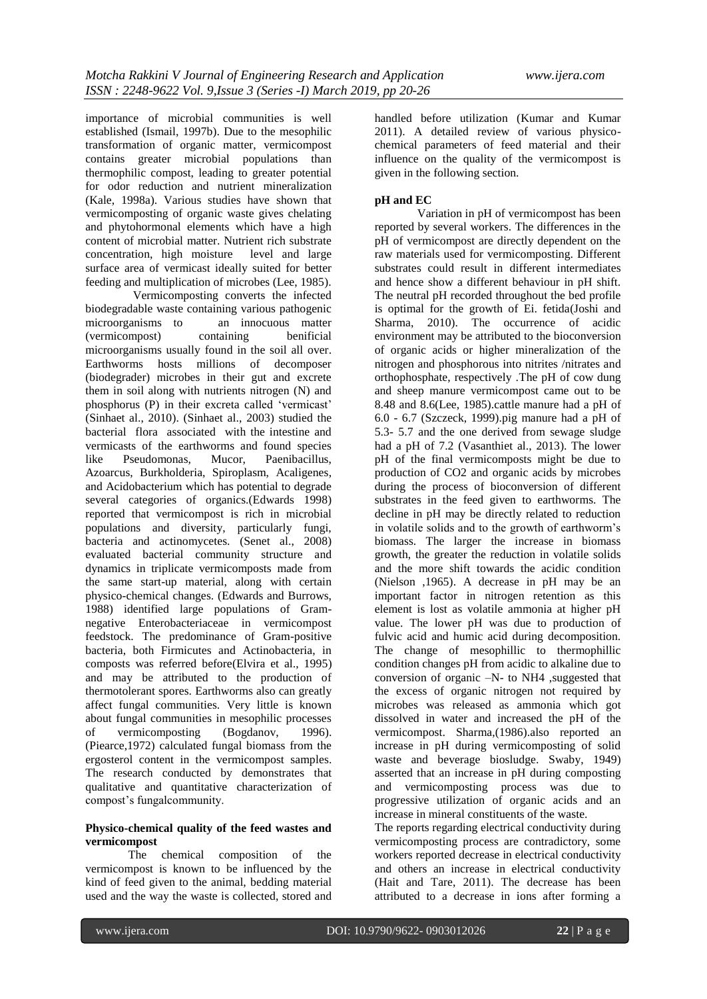importance of microbial communities is well established (Ismail, 1997b). Due to the mesophilic transformation of organic matter, vermicompost contains greater microbial populations than thermophilic compost, leading to greater potential for odor reduction and nutrient mineralization (Kale, 1998a). Various studies have shown that vermicomposting of organic waste gives chelating and phytohormonal elements which have a high content of microbial matter. Nutrient rich substrate<br>concentration. high moisture level and large concentration, high moisture surface area of vermicast ideally suited for better feeding and multiplication of microbes (Lee, 1985).

 Vermicomposting converts the infected biodegradable waste containing various pathogenic microorganisms to an innocuous matter (vermicompost) containing benificial microorganisms usually found in the soil all over. Earthworms hosts millions of decomposer (biodegrader) microbes in their gut and excrete them in soil along with nutrients nitrogen (N) and phosphorus (P) in their excreta called "vermicast" (Sinhaet al., 2010). (Sinhaet al., 2003) studied the bacterial flora associated with the intestine and vermicasts of the earthworms and found species like Pseudomonas, Mucor, Paenibacillus, Azoarcus, Burkholderia, Spiroplasm, Acaligenes, and Acidobacterium which has potential to degrade several categories of organics.(Edwards 1998) reported that vermicompost is rich in microbial populations and diversity, particularly fungi, bacteria and actinomycetes. (Senet al., 2008) evaluated bacterial community structure and dynamics in triplicate vermicomposts made from the same start-up material, along with certain physico-chemical changes. (Edwards and Burrows, 1988) identified large populations of Gramnegative Enterobacteriaceae in vermicompost feedstock. The predominance of Gram-positive bacteria, both Firmicutes and Actinobacteria, in composts was referred before(Elvira et al., 1995) and may be attributed to the production of thermotolerant spores. Earthworms also can greatly affect fungal communities. Very little is known about fungal communities in mesophilic processes of vermicomposting (Bogdanov, 1996). (Piearce,1972) calculated fungal biomass from the ergosterol content in the vermicompost samples. The research conducted by demonstrates that qualitative and quantitative characterization of compost"s fungalcommunity.

### **Physico-chemical quality of the feed wastes and vermicompost**

The chemical composition of the vermicompost is known to be influenced by the kind of feed given to the animal, bedding material used and the way the waste is collected, stored and

handled before utilization (Kumar and Kumar 2011). A detailed review of various physicochemical parameters of feed material and their influence on the quality of the vermicompost is given in the following section.

### **pH and EC**

Variation in pH of vermicompost has been reported by several workers. The differences in the pH of vermicompost are directly dependent on the raw materials used for vermicomposting. Different substrates could result in different intermediates and hence show a different behaviour in pH shift. The neutral pH recorded throughout the bed profile is optimal for the growth of Ei. fetida(Joshi and Sharma, 2010). The occurrence of acidic environment may be attributed to the bioconversion of organic acids or higher mineralization of the nitrogen and phosphorous into nitrites /nitrates and orthophosphate, respectively .The pH of cow dung and sheep manure vermicompost came out to be 8.48 and 8.6(Lee, 1985).cattle manure had a pH of 6.0 - 6.7 (Szczeck, 1999).pig manure had a pH of 5.3- 5.7 and the one derived from sewage sludge had a pH of 7.2 (Vasanthiet al., 2013). The lower pH of the final vermicomposts might be due to production of CO2 and organic acids by microbes during the process of bioconversion of different substrates in the feed given to earthworms. The decline in pH may be directly related to reduction in volatile solids and to the growth of earthworm"s biomass. The larger the increase in biomass growth, the greater the reduction in volatile solids and the more shift towards the acidic condition (Nielson ,1965). A decrease in pH may be an important factor in nitrogen retention as this element is lost as volatile ammonia at higher pH value. The lower pH was due to production of fulvic acid and humic acid during decomposition. The change of mesophillic to thermophillic condition changes pH from acidic to alkaline due to conversion of organic –N- to NH4 ,suggested that the excess of organic nitrogen not required by microbes was released as ammonia which got dissolved in water and increased the pH of the vermicompost. Sharma,(1986).also reported an increase in pH during vermicomposting of solid waste and beverage biosludge. Swaby, 1949) asserted that an increase in pH during composting and vermicomposting process was due to progressive utilization of organic acids and an increase in mineral constituents of the waste.

The reports regarding electrical conductivity during vermicomposting process are contradictory, some workers reported decrease in electrical conductivity and others an increase in electrical conductivity (Hait and Tare, 2011). The decrease has been attributed to a decrease in ions after forming a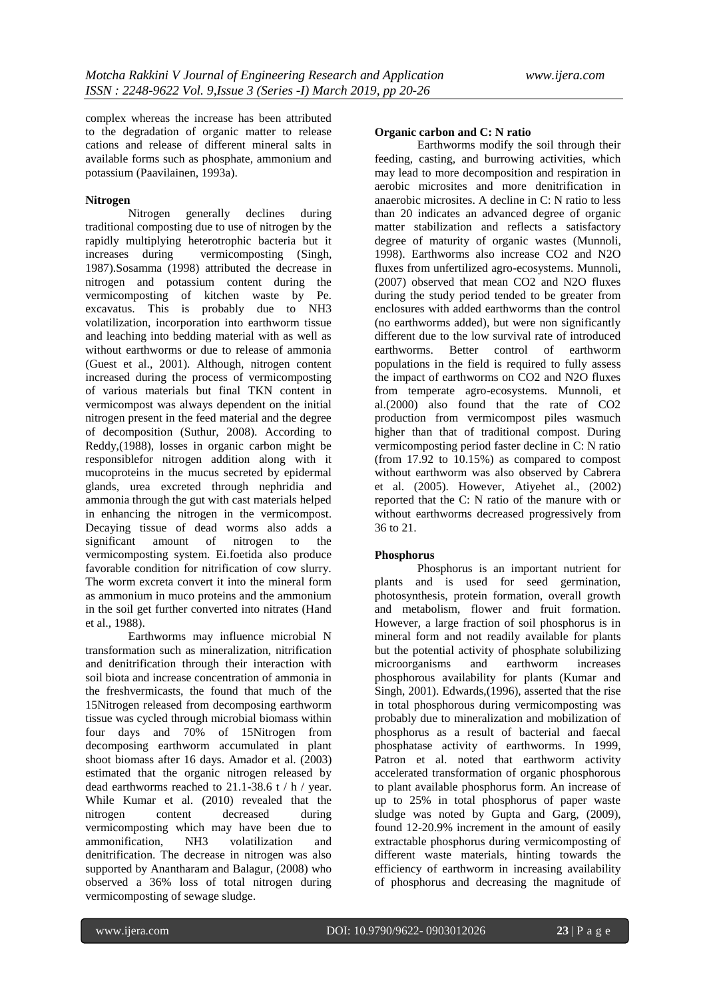complex whereas the increase has been attributed to the degradation of organic matter to release cations and release of different mineral salts in available forms such as phosphate, ammonium and potassium (Paavilainen, 1993a).

### **Nitrogen**

Nitrogen generally declines during traditional composting due to use of nitrogen by the rapidly multiplying heterotrophic bacteria but it<br>increases during vermicomposting (Singh, vermicomposting (Singh, 1987).Sosamma (1998) attributed the decrease in nitrogen and potassium content during the vermicomposting of kitchen waste by Pe. excavatus. This is probably due to NH3 volatilization, incorporation into earthworm tissue and leaching into bedding material with as well as without earthworms or due to release of ammonia (Guest et al., 2001). Although, nitrogen content increased during the process of vermicomposting of various materials but final TKN content in vermicompost was always dependent on the initial nitrogen present in the feed material and the degree of decomposition (Suthur, 2008). According to Reddy,(1988), losses in organic carbon might be responsiblefor nitrogen addition along with it mucoproteins in the mucus secreted by epidermal glands, urea excreted through nephridia and ammonia through the gut with cast materials helped in enhancing the nitrogen in the vermicompost. Decaying tissue of dead worms also adds a significant amount of nitrogen to the vermicomposting system. Ei.foetida also produce favorable condition for nitrification of cow slurry. The worm excreta convert it into the mineral form as ammonium in muco proteins and the ammonium in the soil get further converted into nitrates (Hand et al., 1988).

Earthworms may influence microbial N transformation such as mineralization, nitrification and denitrification through their interaction with soil biota and increase concentration of ammonia in the freshvermicasts, the found that much of the 15Nitrogen released from decomposing earthworm tissue was cycled through microbial biomass within four days and 70% of 15Nitrogen from decomposing earthworm accumulated in plant shoot biomass after 16 days. Amador et al. (2003) estimated that the organic nitrogen released by dead earthworms reached to 21.1-38.6 t / h / year. While Kumar et al. (2010) revealed that the nitrogen content decreased during vermicomposting which may have been due to ammonification, NH3 volatilization and denitrification. The decrease in nitrogen was also supported by Anantharam and Balagur, (2008) who observed a 36% loss of total nitrogen during vermicomposting of sewage sludge.

#### **Organic carbon and C: N ratio**

Earthworms modify the soil through their feeding, casting, and burrowing activities, which may lead to more decomposition and respiration in aerobic microsites and more denitrification in anaerobic microsites. A decline in C: N ratio to less than 20 indicates an advanced degree of organic matter stabilization and reflects a satisfactory degree of maturity of organic wastes (Munnoli, 1998). Earthworms also increase CO2 and N2O fluxes from unfertilized agro-ecosystems. Munnoli, (2007) observed that mean CO2 and N2O fluxes during the study period tended to be greater from enclosures with added earthworms than the control (no earthworms added), but were non significantly different due to the low survival rate of introduced earthworms. Better control of earthworm populations in the field is required to fully assess the impact of earthworms on CO2 and N2O fluxes from temperate agro-ecosystems. Munnoli, et al.(2000) also found that the rate of CO2 production from vermicompost piles wasmuch higher than that of traditional compost. During vermicomposting period faster decline in C: N ratio (from 17.92 to 10.15%) as compared to compost without earthworm was also observed by Cabrera et al. (2005). However, Atiyehet al., (2002) reported that the C: N ratio of the manure with or without earthworms decreased progressively from 36 to 21.

### **Phosphorus**

Phosphorus is an important nutrient for plants and is used for seed germination, photosynthesis, protein formation, overall growth and metabolism, flower and fruit formation. However, a large fraction of soil phosphorus is in mineral form and not readily available for plants but the potential activity of phosphate solubilizing microorganisms and earthworm increases phosphorous availability for plants (Kumar and Singh, 2001). Edwards,(1996), asserted that the rise in total phosphorous during vermicomposting was probably due to mineralization and mobilization of phosphorus as a result of bacterial and faecal phosphatase activity of earthworms. In 1999, Patron et al. noted that earthworm activity accelerated transformation of organic phosphorous to plant available phosphorus form. An increase of up to 25% in total phosphorus of paper waste sludge was noted by Gupta and Garg, (2009), found 12-20.9% increment in the amount of easily extractable phosphorus during vermicomposting of different waste materials, hinting towards the efficiency of earthworm in increasing availability of phosphorus and decreasing the magnitude of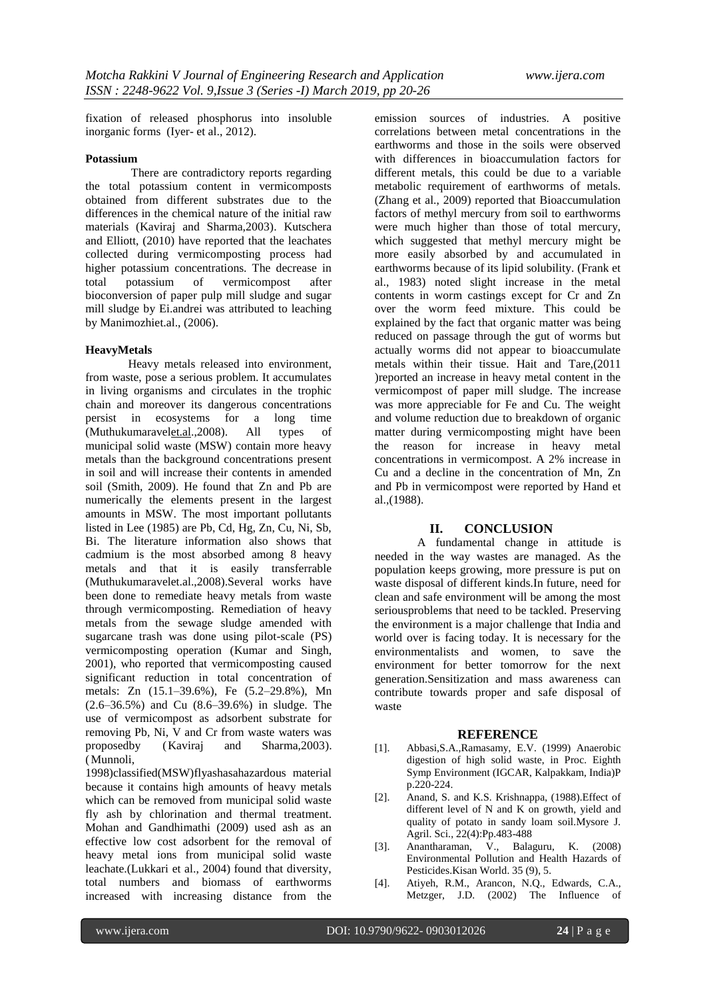fixation of released phosphorus into insoluble inorganic forms (Iyer- et al., 2012).

### **Potassium**

There are contradictory reports regarding the total potassium content in vermicomposts obtained from different substrates due to the differences in the chemical nature of the initial raw materials (Kaviraj and Sharma,2003). Kutschera and Elliott, (2010) have reported that the leachates collected during vermicomposting process had higher potassium concentrations. The decrease in<br>total potassium of vermicompost after total potassium of vermicompost after bioconversion of paper pulp mill sludge and sugar mill sludge by Ei.andrei was attributed to leaching by Manimozhiet.al., (2006).

### **HeavyMetals**

Heavy metals released into environment, from waste, pose a serious problem. It accumulates in living organisms and circulates in the trophic chain and moreover its dangerous concentrations persist in ecosystems for a long time (Muthukumaravelet.al.,2008). All types of municipal solid waste (MSW) contain more heavy metals than the background concentrations present in soil and will increase their contents in amended soil (Smith, 2009). He found that Zn and Pb are numerically the elements present in the largest amounts in MSW. The most important pollutants listed in Lee (1985) are Pb, Cd, Hg, Zn, Cu, Ni, Sb, Bi. The literature information also shows that cadmium is the most absorbed among 8 heavy metals and that it is easily transferrable (Muthukumaravelet.al.,2008).Several works have been done to remediate heavy metals from waste through vermicomposting. Remediation of heavy metals from the sewage sludge amended with sugarcane trash was done using pilot-scale (PS) vermicomposting operation (Kumar and Singh, 2001), who reported that vermicomposting caused significant reduction in total concentration of metals: Zn (15.1–39.6%), Fe (5.2–29.8%), Mn (2.6–36.5%) and Cu (8.6–39.6%) in sludge. The use of vermicompost as adsorbent substrate for removing Pb, Ni, V and Cr from waste waters was proposedby (Kaviraj and Sharma,2003). (Munnoli,

1998)classified(MSW)flyashasahazardous material because it contains high amounts of heavy metals which can be removed from municipal solid waste fly ash by chlorination and thermal treatment. Mohan and Gandhimathi (2009) used ash as an effective low cost adsorbent for the removal of heavy metal ions from municipal solid waste leachate.(Lukkari et al., 2004) found that diversity, total numbers and biomass of earthworms increased with increasing distance from the

emission sources of industries. A positive correlations between metal concentrations in the earthworms and those in the soils were observed with differences in bioaccumulation factors for different metals, this could be due to a variable metabolic requirement of earthworms of metals. (Zhang et al., 2009) reported that Bioaccumulation factors of methyl mercury from soil to earthworms were much higher than those of total mercury, which suggested that methyl mercury might be more easily absorbed by and accumulated in earthworms because of its lipid solubility. (Frank et al., 1983) noted slight increase in the metal contents in worm castings except for Cr and Zn over the worm feed mixture. This could be explained by the fact that organic matter was being reduced on passage through the gut of worms but actually worms did not appear to bioaccumulate metals within their tissue. Hait and Tare,(2011 )reported an increase in heavy metal content in the vermicompost of paper mill sludge. The increase was more appreciable for Fe and Cu. The weight and volume reduction due to breakdown of organic matter during vermicomposting might have been the reason for increase in heavy metal concentrations in vermicompost. A 2% increase in Cu and a decline in the concentration of Mn, Zn and Pb in vermicompost were reported by Hand et al.,(1988).

### **II. CONCLUSION**

A fundamental change in attitude is needed in the way wastes are managed. As the population keeps growing, more pressure is put on waste disposal of different kinds.In future, need for clean and safe environment will be among the most seriousproblems that need to be tackled. Preserving the environment is a major challenge that India and world over is facing today. It is necessary for the environmentalists and women, to save the environment for better tomorrow for the next generation.Sensitization and mass awareness can contribute towards proper and safe disposal of waste

### **REFERENCE**

- [1]. Abbasi,S.A.,Ramasamy, E.V. (1999) Anaerobic digestion of high solid waste, in Proc. Eighth Symp Environment (IGCAR, Kalpakkam, India)P p.220-224.
- [2]. Anand, S. and K.S. Krishnappa, (1988).Effect of different level of N and K on growth, yield and quality of potato in sandy loam soil.Mysore J. Agril. Sci., 22(4):Pp.483-488
- [3]. Anantharaman, V., Balaguru, K. (2008) Environmental Pollution and Health Hazards of Pesticides.Kisan World. 35 (9), 5.
- [4]. Atiyeh, R.M., Arancon, N.Q., Edwards, C.A., Metzger, J.D. (2002) The Influence of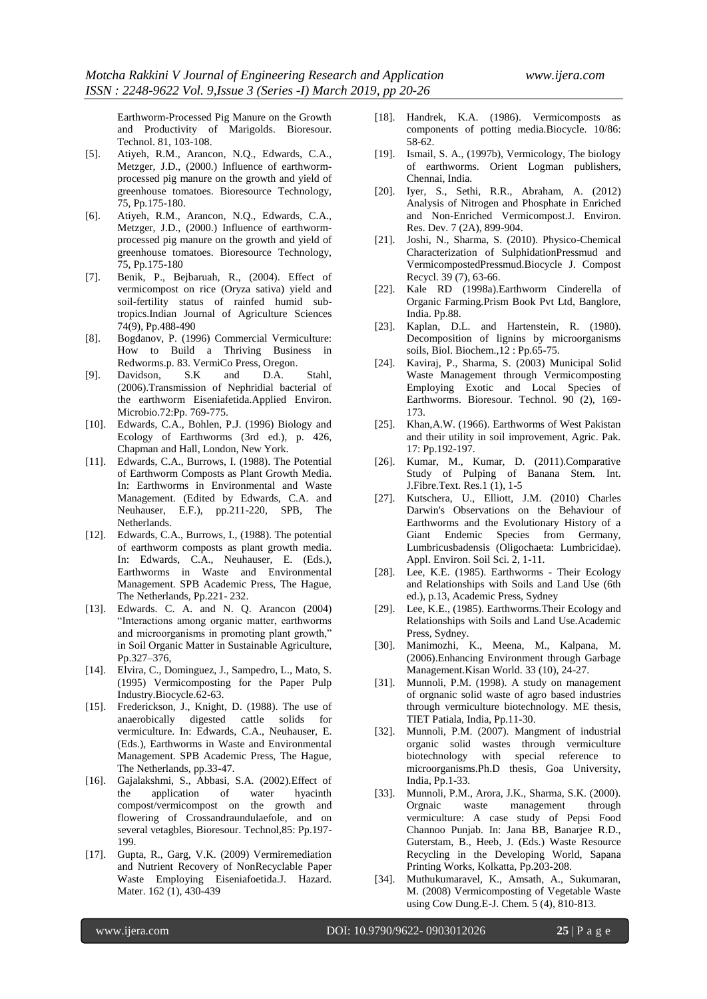Earthworm-Processed Pig Manure on the Growth and Productivity of Marigolds. Bioresour. Technol. 81, 103-108.

- [5]. Atiyeh, R.M., Arancon, N.Q., Edwards, C.A., Metzger, J.D., (2000.) Influence of earthwormprocessed pig manure on the growth and yield of greenhouse tomatoes. Bioresource Technology, 75, Pp.175-180.
- [6]. Atiyeh, R.M., Arancon, N.Q., Edwards, C.A., Metzger, J.D., (2000.) Influence of earthwormprocessed pig manure on the growth and yield of greenhouse tomatoes. Bioresource Technology, 75, Pp.175-180
- [7]. Benik, P., Bejbaruah, R., (2004). Effect of vermicompost on rice (Oryza sativa) yield and soil-fertility status of rainfed humid subtropics.Indian Journal of Agriculture Sciences 74(9), Pp.488-490
- [8]. Bogdanov, P. (1996) Commercial Vermiculture: How to Build a Thriving Business in Redworms.p. 83. VermiCo Press, Oregon.
- [9]. Davidson, S.K and D.A. Stahl, (2006).Transmission of Nephridial bacterial of the earthworm Eiseniafetida.Applied Environ. Microbio.72:Pp. 769-775.
- [10]. Edwards, C.A., Bohlen, P.J. (1996) Biology and Ecology of Earthworms (3rd ed.), p. 426, Chapman and Hall, London, New York.
- [11]. Edwards, C.A., Burrows, I. (1988). The Potential of Earthworm Composts as Plant Growth Media. In: Earthworms in Environmental and Waste Management. (Edited by Edwards, C.A. and Neuhauser, E.F.), pp.211-220, SPB, The Netherlands.
- [12]. Edwards, C.A., Burrows, I., (1988). The potential of earthworm composts as plant growth media. In: Edwards, C.A., Neuhauser, E. (Eds.), Earthworms in Waste and Environmental Management. SPB Academic Press, The Hague, The Netherlands, Pp.221- 232.
- [13]. Edwards. C. A. and N. Q. Arancon (2004) "Interactions among organic matter, earthworms and microorganisms in promoting plant growth," in Soil Organic Matter in Sustainable Agriculture, Pp.327–376,
- [14]. Elvira, C., Dominguez, J., Sampedro, L., Mato, S. (1995) Vermicomposting for the Paper Pulp Industry.Biocycle.62-63.
- [15]. Frederickson, J., Knight, D. (1988). The use of anaerobically digested cattle solids for vermiculture. In: Edwards, C.A., Neuhauser, E. (Eds.), Earthworms in Waste and Environmental Management. SPB Academic Press, The Hague, The Netherlands, pp.33-47.
- [16]. Gajalakshmi, S., Abbasi, S.A. (2002).Effect of the application of water hyacinth compost/vermicompost on the growth and flowering of Crossandraundulaefole, and on several vetagbles, Bioresour. Technol,85: Pp.197- 199.
- [17]. Gupta, R., Garg, V.K. (2009) Vermiremediation and Nutrient Recovery of NonRecyclable Paper Waste Employing Eiseniafoetida.J. Hazard. Mater. 162 (1), 430-439
- [18]. Handrek, K.A. (1986). Vermicomposts as components of potting media.Biocycle. 10/86: 58-62.
- [19]. Ismail, S. A., (1997b), Vermicology, The biology of earthworms. Orient Logman publishers, Chennai, India.
- [20]. Iyer, S., Sethi, R.R., Abraham, A. (2012) Analysis of Nitrogen and Phosphate in Enriched and Non-Enriched Vermicompost.J. Environ. Res. Dev. 7 (2A), 899-904.
- [21]. Joshi, N., Sharma, S. (2010). Physico-Chemical Characterization of SulphidationPressmud and VermicompostedPressmud.Biocycle J. Compost Recycl. 39 (7), 63-66.
- [22]. Kale RD (1998a).Earthworm Cinderella of Organic Farming.Prism Book Pvt Ltd, Banglore, India. Pp.88.
- [23]. Kaplan, D.L. and Hartenstein, R. (1980). Decomposition of lignins by microorganisms soils, Biol. Biochem.,12 : Pp.65-75.
- [24]. Kaviraj, P., Sharma, S. (2003) Municipal Solid Waste Management through Vermicomposting Employing Exotic and Local Species of Earthworms. Bioresour. Technol. 90 (2), 169- 173.
- [25]. Khan, A.W. (1966). Earthworms of West Pakistan and their utility in soil improvement, Agric. Pak. 17: Pp.192-197.
- [26]. Kumar, M., Kumar, D. (2011).Comparative Study of Pulping of Banana Stem. Int. J.Fibre.Text. Res.1 (1), 1-5
- [27]. Kutschera, U., Elliott, J.M. (2010) Charles Darwin's Observations on the Behaviour of Earthworms and the Evolutionary History of a Giant Endemic Species from Germany, Lumbricusbadensis (Oligochaeta: Lumbricidae). Appl. Environ. Soil Sci. 2, 1-11.
- [28]. Lee, K.E. (1985). Earthworms Their Ecology and Relationships with Soils and Land Use (6th ed.), p.13, Academic Press, Sydney
- [29]. Lee, K.E., (1985). Earthworms.Their Ecology and Relationships with Soils and Land Use.Academic Press, Sydney.
- [30]. Manimozhi, K., Meena, M., Kalpana, M. (2006).Enhancing Environment through Garbage Management.Kisan World. 33 (10), 24-27.
- [31]. Munnoli, P.M. (1998). A study on management of orgnanic solid waste of agro based industries through vermiculture biotechnology. ME thesis, TIET Patiala, India, Pp.11-30.
- [32]. Munnoli, P.M. (2007). Mangment of industrial organic solid wastes through vermiculture biotechnology with special reference to microorganisms.Ph.D thesis, Goa University, India, Pp.1-33.
- [33]. Munnoli, P.M., Arora, J.K., Sharma, S.K. (2000). Orgnaic waste management through vermiculture: A case study of Pepsi Food Channoo Punjab. In: Jana BB, Banarjee R.D., Guterstam, B., Heeb, J. (Eds.) Waste Resource Recycling in the Developing World, Sapana Printing Works, Kolkatta, Pp.203-208.
- [34]. Muthukumaravel, K., Amsath, A., Sukumaran, M. (2008) Vermicomposting of Vegetable Waste using Cow Dung.E-J. Chem. 5 (4), 810-813.